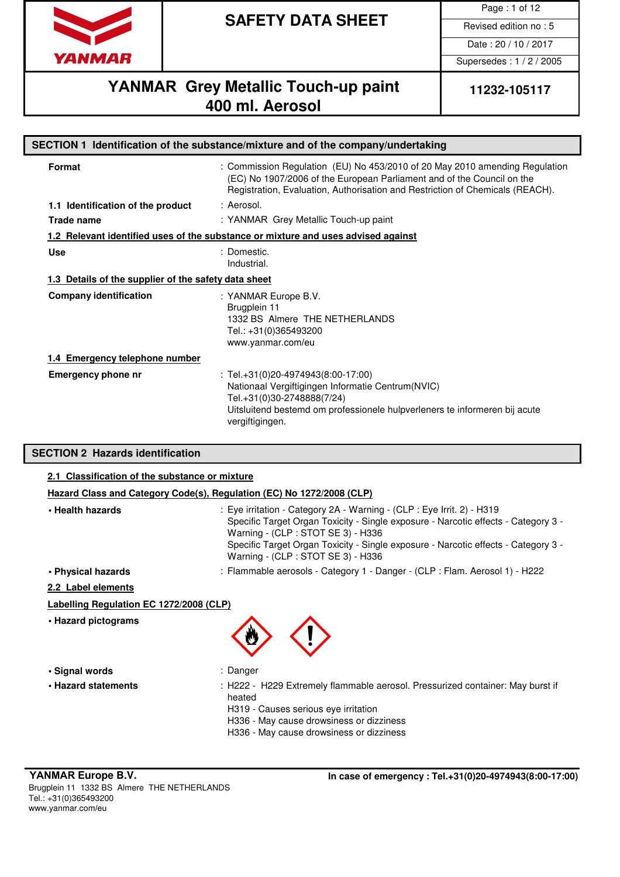

Page : 1 of 12

Date : 20 / 10 / 2017

Supersedes : 1 / 2 / 2005

# **YANMAR** Grey Metallic Touch-up paint 11232-105117 **400 ml. Aerosol**

| SECTION 1 Identification of the substance/mixture and of the company/undertaking |                                                                                                                                                                                                                                        |  |  |
|----------------------------------------------------------------------------------|----------------------------------------------------------------------------------------------------------------------------------------------------------------------------------------------------------------------------------------|--|--|
| Format                                                                           | : Commission Regulation (EU) No 453/2010 of 20 May 2010 amending Regulation<br>(EC) No 1907/2006 of the European Parliament and of the Council on the<br>Registration, Evaluation, Authorisation and Restriction of Chemicals (REACH). |  |  |
| 1.1 Identification of the product                                                | : Aerosol.                                                                                                                                                                                                                             |  |  |
| <b>Trade name</b>                                                                | : YANMAR Grey Metallic Touch-up paint                                                                                                                                                                                                  |  |  |
|                                                                                  | 1.2 Relevant identified uses of the substance or mixture and uses advised against                                                                                                                                                      |  |  |
| <b>Use</b>                                                                       | : Domestic.<br>Industrial.                                                                                                                                                                                                             |  |  |
| 1.3 Details of the supplier of the safety data sheet                             |                                                                                                                                                                                                                                        |  |  |
| <b>Company identification</b>                                                    | : YANMAR Europe B.V.<br>Brugplein 11<br>1332 BS Almere THE NETHERLANDS<br>Tel.: +31(0)365493200<br>www.yanmar.com/eu                                                                                                                   |  |  |
| 1.4 Emergency telephone number                                                   |                                                                                                                                                                                                                                        |  |  |
| Emergency phone nr                                                               | : Tel. $+31(0)20-4974943(8:00-17:00)$<br>Nationaal Vergiftigingen Informatie Centrum (NVIC)<br>Tel.+31(0)30-2748888(7/24)<br>Uitsluitend bestemd om professionele hulpverleners te informeren bij acute<br>vergiftigingen.             |  |  |

### **SECTION 2 Hazards identification**

| 2.1 Classification of the substance or mixture                        |                                                                                                                                                                                                                                                                                                                                |  |  |
|-----------------------------------------------------------------------|--------------------------------------------------------------------------------------------------------------------------------------------------------------------------------------------------------------------------------------------------------------------------------------------------------------------------------|--|--|
| Hazard Class and Category Code(s), Regulation (EC) No 1272/2008 (CLP) |                                                                                                                                                                                                                                                                                                                                |  |  |
| • Health hazards                                                      | : Eye irritation - Category 2A - Warning - (CLP : Eye Irrit. 2) - H319<br>Specific Target Organ Toxicity - Single exposure - Narcotic effects - Category 3 -<br>Warning - (CLP : STOT SE 3) - H336<br>Specific Target Organ Toxicity - Single exposure - Narcotic effects - Category 3 -<br>Warning - (CLP : STOT SE 3) - H336 |  |  |
| • Physical hazards                                                    | : Flammable aerosols - Category 1 - Danger - (CLP : Flam. Aerosol 1) - H222                                                                                                                                                                                                                                                    |  |  |
| 2.2 Label elements                                                    |                                                                                                                                                                                                                                                                                                                                |  |  |
| Labelling Regulation EC 1272/2008 (CLP)                               |                                                                                                                                                                                                                                                                                                                                |  |  |
| • Hazard pictograms                                                   |                                                                                                                                                                                                                                                                                                                                |  |  |
| • Signal words                                                        | : Danger                                                                                                                                                                                                                                                                                                                       |  |  |
| • Hazard statements                                                   | : H222 - H229 Extremely flammable aerosol. Pressurized container: May burst if<br>heated<br>H319 - Causes serious eye irritation<br>H336 - May cause drowsiness or dizziness<br>H336 - May cause drowsiness or dizziness                                                                                                       |  |  |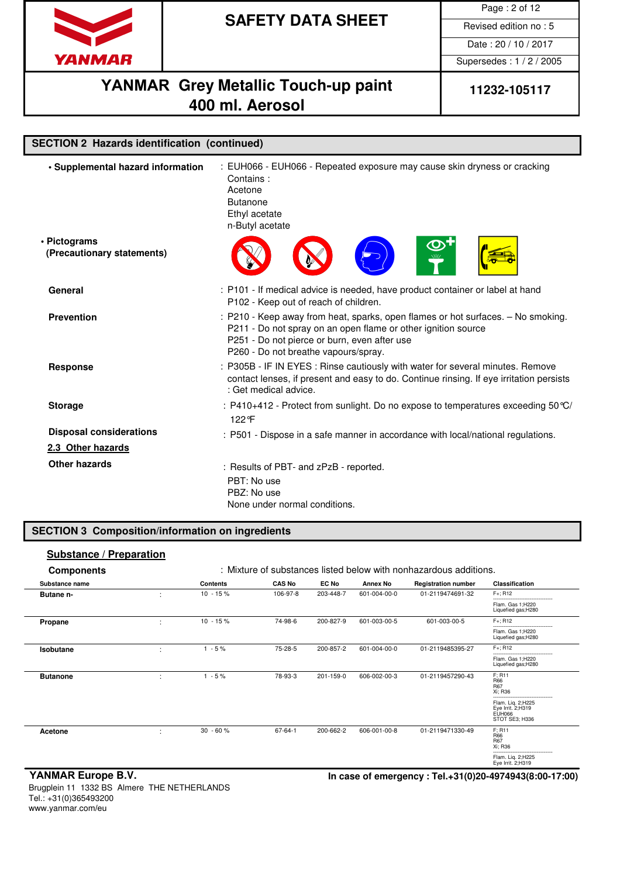

Page : 2 of 12

Date : 20 / 10 / 2017

Supersedes : 1 / 2 / 2005

## **YANMAR** Grey Metallic Touch-up paint 11232-105117 **400 ml. Aerosol**

| <b>SECTION 2 Hazards identification (continued)</b> |                                                                                                                                                                                                                                           |
|-----------------------------------------------------|-------------------------------------------------------------------------------------------------------------------------------------------------------------------------------------------------------------------------------------------|
| · Supplemental hazard information                   | : EUH066 - EUH066 - Repeated exposure may cause skin dryness or cracking<br>Contains:<br>Acetone<br><b>Butanone</b><br>Ethyl acetate<br>n-Butyl acetate                                                                                   |
| • Pictograms<br>(Precautionary statements)          | $\bm{\mathcal{O}}$                                                                                                                                                                                                                        |
| General                                             | : P101 - If medical advice is needed, have product container or label at hand<br>P102 - Keep out of reach of children.                                                                                                                    |
| <b>Prevention</b>                                   | : P210 - Keep away from heat, sparks, open flames or hot surfaces. - No smoking.<br>P211 - Do not spray on an open flame or other ignition source<br>P251 - Do not pierce or burn, even after use<br>P260 - Do not breathe vapours/spray. |
| <b>Response</b>                                     | : P305B - IF IN EYES : Rinse cautiously with water for several minutes. Remove<br>contact lenses, if present and easy to do. Continue rinsing. If eye irritation persists<br>: Get medical advice.                                        |
| <b>Storage</b>                                      | : P410+412 - Protect from sunlight. Do no expose to temperatures exceeding 50 °C/<br>122°F                                                                                                                                                |
| <b>Disposal considerations</b>                      | : P501 - Dispose in a safe manner in accordance with local/national regulations.                                                                                                                                                          |
| 2.3 Other hazards                                   |                                                                                                                                                                                                                                           |
| Other hazards                                       | : Results of PBT- and zPzB - reported.<br>PBT: No use<br>PBZ: No use<br>None under normal conditions.                                                                                                                                     |

### **SECTION 3 Composition/information on ingredients**

### **Substance / Preparation Components** : Mixture of substances listed below with nonhazardous additions. **Substance name Contents CAS No EC No Annex No Registration number Classification Butane n-** : 10 - 15 % 106-97-8 203-448-7 601-004-00-0 01-2119474691-32 F+; R12 -------------------------------<br>Flam. Gas 1;H220<br>Liquefied gas;H280 **Propane** : 10 - 15 % 74-98-6 200-827-9 601-003-00-5 601-003-00-5 F+; R12 -------------------------------<br>Flam. Gas 1;H220<br>Liquefied gas;H280 **Isobutane** : 1 - 5 % 75-28-5 200-857-2 601-004-00-0 01-2119485395-27 F+; R12 -------------------------------<br>Flam. Gas 1;H220<br>Liquefied gas;H280 **Butanone** : 1 - 5% 78-93-3 201-159-0 606-002-00-3 01-2119457290-43 F; R11  $F; R11$ R67 Xi; R36 ---------------------------------- Flam. Liq. 2;H225 Eye Irrit. 2;H319 EUH066 STOT SE3; H336 **Acetone** : 30 - 60 % 67-64-1 200-662-2 606-001-00-8 01-2119471330-49 R66 R67 Xi; R36 -----------------------------------<br>Flam. Liq. 2;H225<br>Eye Irrit. 2;H319

### Brugplein 11 1332 BS Almere THE NETHERLANDS Tel.: +31(0)365493200 www.yanmar.com/eu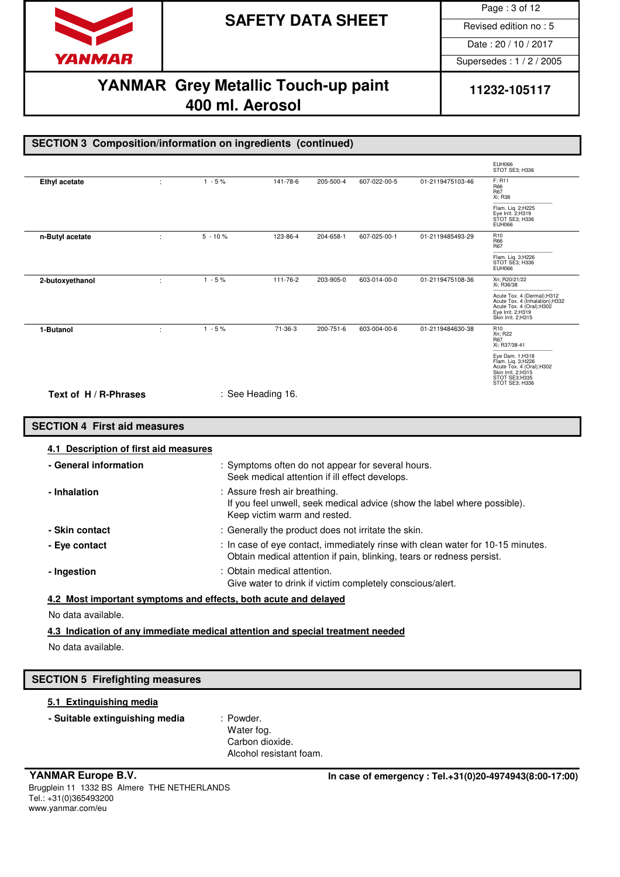

Page : 3 of 12

Date : 20 / 10 / 2017

Supersedes : 1 / 2 / 2005

## **YANMAR** Grey Metallic Touch-up paint 11232-105117 **400 ml. Aerosol**

|                                                                                |   |                                                                                                                                           |                                            |           |                                                                                                     |                                                                                                                                                          | <b>EUH066</b><br>STOT SE3; H336                                                                                                                                      |
|--------------------------------------------------------------------------------|---|-------------------------------------------------------------------------------------------------------------------------------------------|--------------------------------------------|-----------|-----------------------------------------------------------------------------------------------------|----------------------------------------------------------------------------------------------------------------------------------------------------------|----------------------------------------------------------------------------------------------------------------------------------------------------------------------|
| <b>Ethyl acetate</b>                                                           | ÷ | $1 - 5%$                                                                                                                                  | 141-78-6                                   | 205-500-4 | 607-022-00-5                                                                                        | 01-2119475103-46                                                                                                                                         | F; R11<br>R66<br>R67<br>Xi; R36                                                                                                                                      |
|                                                                                |   |                                                                                                                                           |                                            |           |                                                                                                     |                                                                                                                                                          | Flam. Liq. 2;H225<br>Eye Irrit. 2; H319<br>STOT SE3; H336<br><b>EUH066</b>                                                                                           |
| n-Butyl acetate                                                                | ÷ | $5 - 10%$                                                                                                                                 | 123-86-4                                   | 204-658-1 | 607-025-00-1                                                                                        | 01-2119485493-29                                                                                                                                         | R <sub>10</sub><br>R66<br>R67                                                                                                                                        |
|                                                                                |   |                                                                                                                                           |                                            |           |                                                                                                     |                                                                                                                                                          | Flam. Liq. 3; H226<br>STOT SE3; H336<br><b>EUH066</b>                                                                                                                |
| 2-butoxyethanol                                                                | ÷ | $1 - 5%$                                                                                                                                  | 111-76-2                                   | 203-905-0 | 603-014-00-0                                                                                        | 01-2119475108-36                                                                                                                                         | Xn; R20/21/22<br>Xi; R36/38<br>Acute Tox. 4 (Dermal);H312<br>Acute Tox. 4 (Inhalation); H332<br>Acute Tox. 4 (Oral); H302<br>Eye Irrit. 2;H319<br>Skin Irrit. 2;H315 |
| 1-Butanol                                                                      | ÷ | $1 - 5%$                                                                                                                                  | 71-36-3                                    | 200-751-6 | 603-004-00-6                                                                                        | 01-2119484630-38                                                                                                                                         | R <sub>10</sub><br>Xn; R22<br>R67<br>Xi; R37/38-41<br>Eye Dam. 1;H318<br>Flam. Liq. 3;H226                                                                           |
| Text of H / R-Phrases                                                          |   |                                                                                                                                           | : See Heading 16.                          |           |                                                                                                     |                                                                                                                                                          | Acute Tox. 4 (Oral); H302<br>Skin Irrit. 2;H315<br>STOT SE3;H335<br>STOT SE3: H336                                                                                   |
| <b>SECTION 4 First aid measures</b>                                            |   |                                                                                                                                           |                                            |           |                                                                                                     |                                                                                                                                                          |                                                                                                                                                                      |
| 4.1 Description of first aid measures                                          |   |                                                                                                                                           |                                            |           |                                                                                                     |                                                                                                                                                          |                                                                                                                                                                      |
| - General information                                                          |   |                                                                                                                                           |                                            |           | : Symptoms often do not appear for several hours.<br>Seek medical attention if ill effect develops. |                                                                                                                                                          |                                                                                                                                                                      |
| - Inhalation                                                                   |   | : Assure fresh air breathing.<br>If you feel unwell, seek medical advice (show the label where possible).<br>Keep victim warm and rested. |                                            |           |                                                                                                     |                                                                                                                                                          |                                                                                                                                                                      |
| - Skin contact                                                                 |   | : Generally the product does not irritate the skin.                                                                                       |                                            |           |                                                                                                     |                                                                                                                                                          |                                                                                                                                                                      |
| - Eye contact                                                                  |   |                                                                                                                                           |                                            |           |                                                                                                     | : In case of eye contact, immediately rinse with clean water for 10-15 minutes.<br>Obtain medical attention if pain, blinking, tears or redness persist. |                                                                                                                                                                      |
| - Ingestion                                                                    |   | : Obtain medical attention.<br>Give water to drink if victim completely conscious/alert.                                                  |                                            |           |                                                                                                     |                                                                                                                                                          |                                                                                                                                                                      |
| 4.2 Most important symptoms and effects, both acute and delayed                |   |                                                                                                                                           |                                            |           |                                                                                                     |                                                                                                                                                          |                                                                                                                                                                      |
| No data available.                                                             |   |                                                                                                                                           |                                            |           |                                                                                                     |                                                                                                                                                          |                                                                                                                                                                      |
| 4.3 Indication of any immediate medical attention and special treatment needed |   |                                                                                                                                           |                                            |           |                                                                                                     |                                                                                                                                                          |                                                                                                                                                                      |
| No data available.                                                             |   |                                                                                                                                           |                                            |           |                                                                                                     |                                                                                                                                                          |                                                                                                                                                                      |
| <b>SECTION 5 Firefighting measures</b>                                         |   |                                                                                                                                           |                                            |           |                                                                                                     |                                                                                                                                                          |                                                                                                                                                                      |
| 5.1 Extinguishing media                                                        |   |                                                                                                                                           |                                            |           |                                                                                                     |                                                                                                                                                          |                                                                                                                                                                      |
| - Suitable extinguishing media                                                 |   | : Powder.<br>Water fog.                                                                                                                   |                                            |           |                                                                                                     |                                                                                                                                                          |                                                                                                                                                                      |
|                                                                                |   |                                                                                                                                           | Carbon dioxide.<br>Alcohol resistant foam. |           |                                                                                                     |                                                                                                                                                          |                                                                                                                                                                      |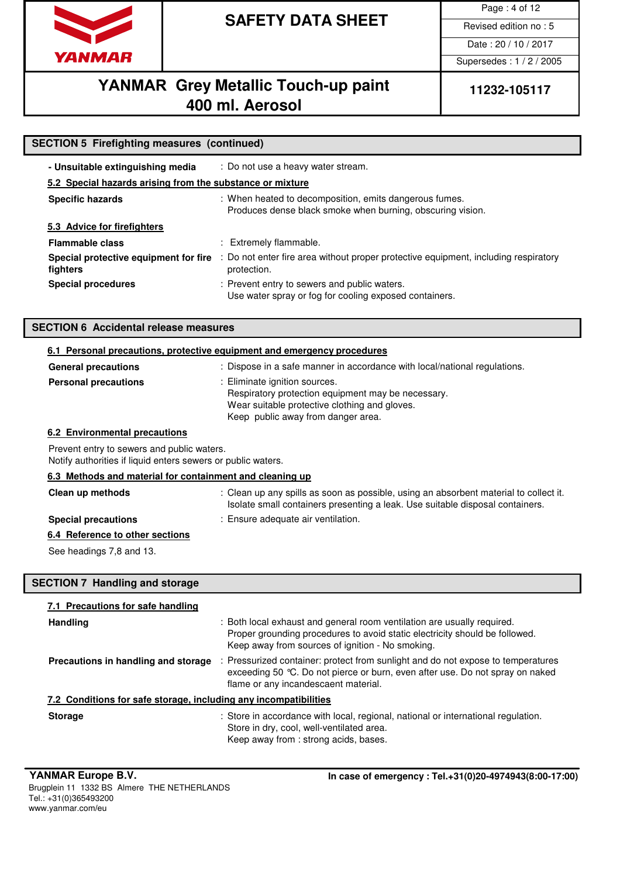

Page : 4 of 12

Date : 20 / 10 / 2017

Supersedes : 1 / 2 / 2005

# YANMAR Grey Metallic Touch-up paint | 11232-105117 **400 ml. Aerosol**

| <b>SECTION 5 Firefighting measures (continued)</b>                                                         |                                                                                                                                                                                                            |  |  |  |  |
|------------------------------------------------------------------------------------------------------------|------------------------------------------------------------------------------------------------------------------------------------------------------------------------------------------------------------|--|--|--|--|
| - Unsuitable extinguishing media                                                                           | : Do not use a heavy water stream.                                                                                                                                                                         |  |  |  |  |
| 5.2 Special hazards arising from the substance or mixture                                                  |                                                                                                                                                                                                            |  |  |  |  |
| <b>Specific hazards</b>                                                                                    | : When heated to decomposition, emits dangerous fumes.<br>Produces dense black smoke when burning, obscuring vision.                                                                                       |  |  |  |  |
| 5.3 Advice for firefighters                                                                                |                                                                                                                                                                                                            |  |  |  |  |
| <b>Flammable class</b>                                                                                     | : Extremely flammable.                                                                                                                                                                                     |  |  |  |  |
| fighters                                                                                                   | Special protective equipment for fire : Do not enter fire area without proper protective equipment, including respiratory<br>protection.                                                                   |  |  |  |  |
| <b>Special procedures</b>                                                                                  | : Prevent entry to sewers and public waters.<br>Use water spray or fog for cooling exposed containers.                                                                                                     |  |  |  |  |
| <b>SECTION 6 Accidental release measures</b>                                                               |                                                                                                                                                                                                            |  |  |  |  |
|                                                                                                            | 6.1 Personal precautions, protective equipment and emergency procedures                                                                                                                                    |  |  |  |  |
| <b>General precautions</b>                                                                                 | : Dispose in a safe manner in accordance with local/national regulations.                                                                                                                                  |  |  |  |  |
| <b>Personal precautions</b>                                                                                | : Eliminate ignition sources.<br>Respiratory protection equipment may be necessary.<br>Wear suitable protective clothing and gloves.<br>Keep public away from danger area.                                 |  |  |  |  |
| 6.2 Environmental precautions                                                                              |                                                                                                                                                                                                            |  |  |  |  |
| Prevent entry to sewers and public waters.<br>Notify authorities if liquid enters sewers or public waters. |                                                                                                                                                                                                            |  |  |  |  |
| 6.3 Methods and material for containment and cleaning up                                                   |                                                                                                                                                                                                            |  |  |  |  |
| Clean up methods                                                                                           | : Clean up any spills as soon as possible, using an absorbent material to collect it.<br>Isolate small containers presenting a leak. Use suitable disposal containers.                                     |  |  |  |  |
| <b>Special precautions</b>                                                                                 | : Ensure adequate air ventilation.                                                                                                                                                                         |  |  |  |  |
| 6.4 Reference to other sections                                                                            |                                                                                                                                                                                                            |  |  |  |  |
| See headings 7,8 and 13.                                                                                   |                                                                                                                                                                                                            |  |  |  |  |
| <b>SECTION 7 Handling and storage</b>                                                                      |                                                                                                                                                                                                            |  |  |  |  |
| 7.1 Precautions for safe handling                                                                          |                                                                                                                                                                                                            |  |  |  |  |
| <b>Handling</b>                                                                                            | : Both local exhaust and general room ventilation are usually required.<br>Proper grounding procedures to avoid static electricity should be followed.<br>Keep away from sources of ignition - No smoking. |  |  |  |  |
| Precautions in handling and storage                                                                        | : Pressurized container: protect from sunlight and do not expose to temperatures<br>exceeding 50 °C. Do not pierce or burn, even after use. Do not spray on naked<br>flame or any incandescaent material.  |  |  |  |  |
| 7.2 Conditions for safe storage, including any incompatibilities                                           |                                                                                                                                                                                                            |  |  |  |  |
| <b>Storage</b>                                                                                             | : Store in accordance with local, regional, national or international regulation.<br>Store in dry, cool, well-ventilated area.<br>Keep away from: strong acids, bases.                                     |  |  |  |  |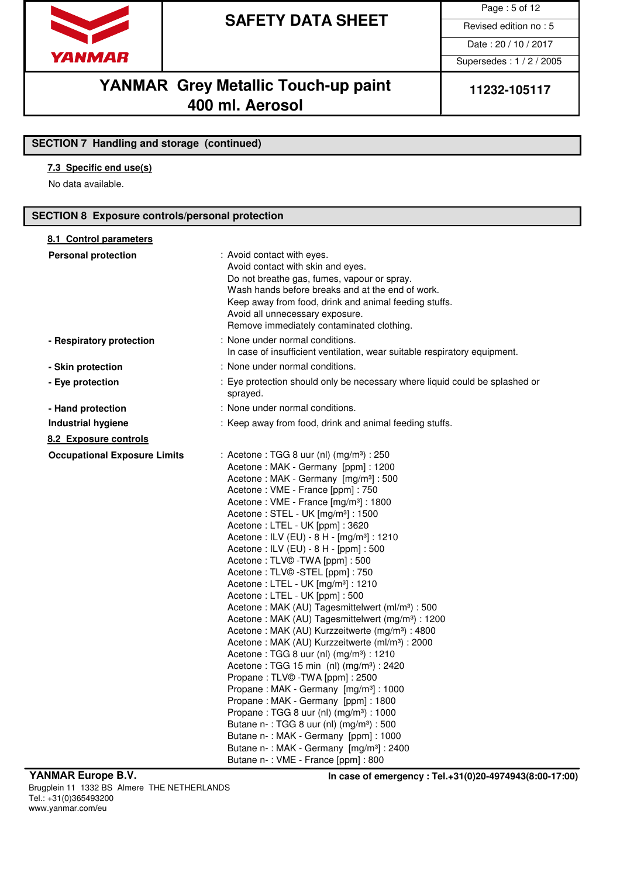

Page : 5 of 12

Date : 20 / 10 / 2017

Supersedes : 1 / 2 / 2005

## **YANMAR** Grey Metallic Touch-up paint | 11232-105117 **400 ml. Aerosol**

### **SECTION 7 Handling and storage (continued)**

### **7.3 Specific end use(s)**

No data available.

### **SECTION 8 Exposure controls/personal protection**

| 8.1 Control parameters              |                                                                                                                                                                                                                                                                                                                                                                                                                                                                                                                                                                                                                                                                                                                                                                                                                                                                                                                                                                                                                                                                                                                                                                                                                                                                                                                                               |
|-------------------------------------|-----------------------------------------------------------------------------------------------------------------------------------------------------------------------------------------------------------------------------------------------------------------------------------------------------------------------------------------------------------------------------------------------------------------------------------------------------------------------------------------------------------------------------------------------------------------------------------------------------------------------------------------------------------------------------------------------------------------------------------------------------------------------------------------------------------------------------------------------------------------------------------------------------------------------------------------------------------------------------------------------------------------------------------------------------------------------------------------------------------------------------------------------------------------------------------------------------------------------------------------------------------------------------------------------------------------------------------------------|
| <b>Personal protection</b>          | : Avoid contact with eyes.<br>Avoid contact with skin and eyes.<br>Do not breathe gas, fumes, vapour or spray.<br>Wash hands before breaks and at the end of work.<br>Keep away from food, drink and animal feeding stuffs.<br>Avoid all unnecessary exposure.<br>Remove immediately contaminated clothing.                                                                                                                                                                                                                                                                                                                                                                                                                                                                                                                                                                                                                                                                                                                                                                                                                                                                                                                                                                                                                                   |
| - Respiratory protection            | : None under normal conditions.<br>In case of insufficient ventilation, wear suitable respiratory equipment.                                                                                                                                                                                                                                                                                                                                                                                                                                                                                                                                                                                                                                                                                                                                                                                                                                                                                                                                                                                                                                                                                                                                                                                                                                  |
| - Skin protection                   | : None under normal conditions.                                                                                                                                                                                                                                                                                                                                                                                                                                                                                                                                                                                                                                                                                                                                                                                                                                                                                                                                                                                                                                                                                                                                                                                                                                                                                                               |
| - Eye protection                    | : Eye protection should only be necessary where liquid could be splashed or<br>sprayed.                                                                                                                                                                                                                                                                                                                                                                                                                                                                                                                                                                                                                                                                                                                                                                                                                                                                                                                                                                                                                                                                                                                                                                                                                                                       |
| - Hand protection                   | : None under normal conditions.                                                                                                                                                                                                                                                                                                                                                                                                                                                                                                                                                                                                                                                                                                                                                                                                                                                                                                                                                                                                                                                                                                                                                                                                                                                                                                               |
| <b>Industrial hygiene</b>           | : Keep away from food, drink and animal feeding stuffs.                                                                                                                                                                                                                                                                                                                                                                                                                                                                                                                                                                                                                                                                                                                                                                                                                                                                                                                                                                                                                                                                                                                                                                                                                                                                                       |
| 8.2 Exposure controls               |                                                                                                                                                                                                                                                                                                                                                                                                                                                                                                                                                                                                                                                                                                                                                                                                                                                                                                                                                                                                                                                                                                                                                                                                                                                                                                                                               |
| <b>Occupational Exposure Limits</b> | : Acetone : TGG 8 uur (nl) (mg/m <sup>3</sup> ) : 250<br>Acetone: MAK - Germany [ppm]: 1200<br>Acetone: MAK - Germany [mg/m <sup>3</sup> ]: 500<br>Acetone: VME - France [ppm]: 750<br>Acetone: VME - France [mg/m <sup>3</sup> ]: 1800<br>Acetone: STEL - UK [mg/m <sup>3</sup> ]: 1500<br>Acetone: LTEL - UK [ppm]: 3620<br>Acetone: ILV (EU) - 8 H - [mg/m <sup>3</sup> ] : 1210<br>Acetone: ILV (EU) - 8 H - [ppm]: 500<br>Acetone: TLV©-TWA [ppm]: 500<br>Acetone: TLV© -STEL [ppm]: 750<br>Acetone: LTEL - UK [mg/m <sup>3</sup> ]: 1210<br>Acetone: LTEL - UK [ppm]: 500<br>Acetone: MAK (AU) Tagesmittelwert (ml/m <sup>3</sup> ): 500<br>Acetone: MAK (AU) Tagesmittelwert (mg/m <sup>3</sup> ): 1200<br>Acetone: MAK (AU) Kurzzeitwerte (mg/m <sup>3</sup> ) : 4800<br>Acetone: MAK (AU) Kurzzeitwerte (ml/m <sup>3</sup> ) : 2000<br>Acetone : TGG 8 uur (nl) (mg/m <sup>3</sup> ) : 1210<br>Acetone: TGG 15 min (nl) (mg/m <sup>3</sup> ): 2420<br>Propane: TLV© -TWA [ppm]: 2500<br>Propane: MAK - Germany [mg/m <sup>3</sup> ]: 1000<br>Propane: MAK - Germany [ppm]: 1800<br>Propane: TGG 8 uur (nl) (mg/m <sup>3</sup> ): 1000<br>Butane n-: TGG 8 uur (nl) (mg/m <sup>3</sup> ) : 500<br>Butane n-: MAK - Germany [ppm]: 1000<br>Butane n-: MAK - Germany [mg/m <sup>3</sup> ] : 2400<br>Butane n-: VME - France [ppm] : 800 |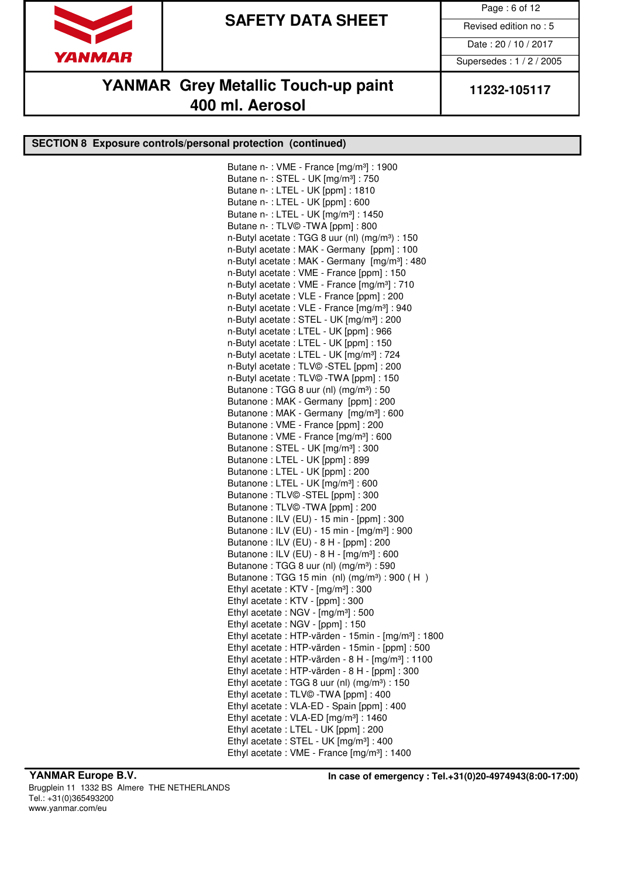

Page : 6 of 12

Date : 20 / 10 / 2017

Supersedes : 1 / 2 / 2005

# **YANMAR** Grey Metallic Touch-up paint | 11232-105117 **400 ml. Aerosol**

### **SECTION 8 Exposure controls/personal protection (continued)**

Butane n-: VME - France [mg/m<sup>3</sup>] : 1900 Butane n- : STEL - UK [mg/m³] : 750 Butane n- : LTEL - UK [ppm] : 1810 Butane n- : LTEL - UK [ppm] : 600 Butane n- : LTEL - UK [mg/m³] : 1450 Butane n- : TLV© -TWA [ppm] : 800 n-Butyl acetate : TGG 8 uur (nl) (mg/m<sup>3</sup>) : 150 n-Butyl acetate : MAK - Germany [ppm] : 100 n-Butyl acetate : MAK - Germany [mg/m<sup>3</sup>] : 480 n-Butyl acetate : VME - France [ppm] : 150 n-Butyl acetate : VME - France [mg/m<sup>3</sup>] : 710 n-Butyl acetate : VLE - France [ppm] : 200 n-Butyl acetate : VLE - France [mg/m<sup>3</sup>] : 940 n-Butyl acetate : STEL - UK [mg/m<sup>3</sup>] : 200 n-Butyl acetate : LTEL - UK [ppm] : 966 n-Butyl acetate : LTEL - UK [ppm] : 150 n-Butyl acetate : LTEL - UK [mg/m<sup>3</sup>] : 724 n-Butyl acetate : TLV© -STEL [ppm] : 200 n-Butyl acetate : TLV© -TWA [ppm] : 150 Butanone : TGG 8 uur (nl)  $(mg/m<sup>3</sup>)$  : 50 Butanone : MAK - Germany [ppm] : 200 Butanone : MAK - Germany [mg/m<sup>3</sup>] : 600 Butanone : VME - France [ppm] : 200 Butanone : VME - France [mg/m<sup>3</sup>] : 600 Butanone : STEL - UK [mg/m<sup>3</sup>] : 300 Butanone : LTEL - UK [ppm] : 899 Butanone : LTEL - UK [ppm] : 200 Butanone : LTEL - UK [mg/m³] : 600 Butanone : TLV© -STEL [ppm] : 300 Butanone : TLV© -TWA [ppm] : 200 Butanone : ILV (EU) - 15 min - [ppm] : 300 Butanone : ILV (EU) - 15 min - [mg/m³] : 900 Butanone : ILV (EU) - 8 H - [ppm] : 200 Butanone : ILV (EU) - 8 H - [mg/m³] : 600 Butanone : TGG 8 uur (nl)  $(mg/m<sup>3</sup>)$  : 590 Butanone: TGG 15 min (nl)  $(mg/m<sup>3</sup>)$ : 900 (H) Ethyl acetate : KTV - [mg/m<sup>3</sup>] : 300 Ethyl acetate : KTV - [ppm] : 300 Ethyl acetate : NGV - [mg/m<sup>3</sup>] : 500 Ethyl acetate : NGV - [ppm] : 150 Ethyl acetate : HTP-värden - 15min - [mg/m<sup>3</sup>] : 1800 Ethyl acetate : HTP-värden - 15min - [ppm] : 500 Ethyl acetate : HTP-värden -  $8$  H -  $[mg/m<sup>3</sup>]$  : 1100 Ethyl acetate : HTP-värden - 8 H - [ppm] : 300 Ethyl acetate : TGG 8 uur (nl)  $(mg/m<sup>3</sup>)$  : 150 Ethyl acetate : TLV© -TWA [ppm] : 400 Ethyl acetate : VLA-ED - Spain [ppm] : 400 Ethyl acetate : VLA-ED [mg/m<sup>3</sup>] : 1460 Ethyl acetate : LTEL - UK [ppm] : 200 Ethyl acetate : STEL - UK [mg/m<sup>3</sup>] : 400 Ethyl acetate : VME - France [mg/m<sup>3</sup>] : 1400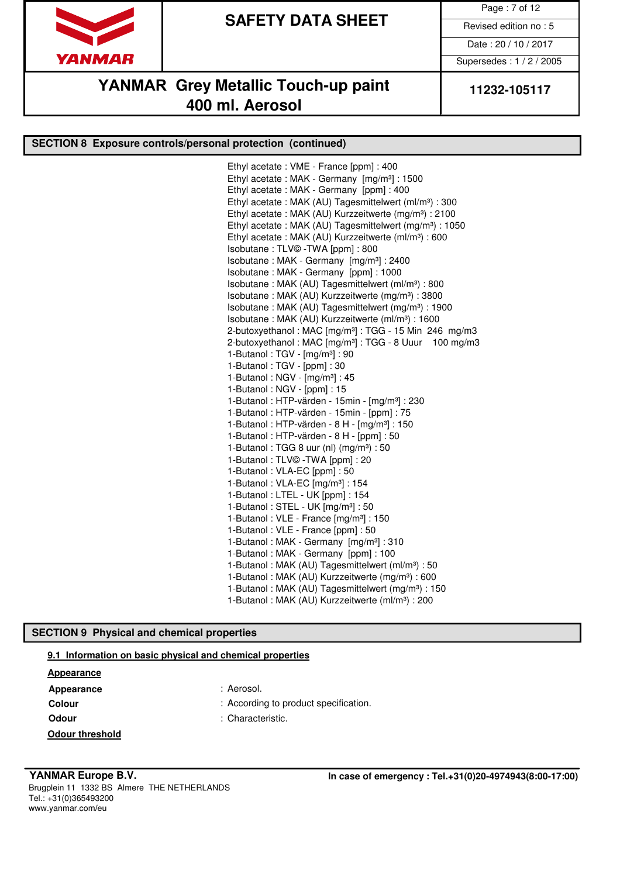

Page : 7 of 12

Date : 20 / 10 / 2017

Supersedes : 1 / 2 / 2005

### **YANMAR** Grey Metallic Touch-up paint 11232-105117 **400 ml. Aerosol**

### **SECTION 8 Exposure controls/personal protection (continued)**

Ethyl acetate : VME - France [ppm] : 400 Ethyl acetate : MAK - Germany [mg/m³] : 1500 Ethyl acetate : MAK - Germany [ppm] : 400 Ethyl acetate : MAK (AU) Tagesmittelwert (ml/m<sup>3</sup>) : 300 Ethyl acetate : MAK (AU) Kurzzeitwerte (mg/m<sup>3</sup>) : 2100 Ethyl acetate : MAK (AU) Tagesmittelwert (mg/m<sup>3</sup>) : 1050 Ethyl acetate : MAK (AU) Kurzzeitwerte (ml/m<sup>3</sup>) : 600 Isobutane : TLV© -TWA [ppm] : 800 Isobutane : MAK - Germany [mg/m³] : 2400 Isobutane : MAK - Germany [ppm] : 1000 Isobutane : MAK (AU) Tagesmittelwert (ml/m³) : 800 Isobutane : MAK (AU) Kurzzeitwerte (mg/m<sup>3</sup>) : 3800 Isobutane : MAK (AU) Tagesmittelwert (mg/m³) : 1900 Isobutane : MAK (AU) Kurzzeitwerte (ml/m³) : 1600 2-butoxyethanol : MAC [mg/m<sup>3</sup>] : TGG - 15 Min 246 mg/m3 2-butoxyethanol : MAC [mg/m<sup>3</sup>] : TGG - 8 Uuur 100 mg/m3 1-Butanol : TGV - [mg/m³] : 90 1-Butanol : TGV - [ppm] : 30 1-Butanol : NGV - [mg/m<sup>3</sup>] : 45 1-Butanol : NGV - [ppm] : 15 1-Butanol: HTP-värden - 15min -  $[mg/m^3]$ : 230 1-Butanol : HTP-värden - 15min - [ppm] : 75 1-Butanol : HTP-värden - 8 H - [mg/m³] : 150 1-Butanol : HTP-värden - 8 H - [ppm] : 50 1-Butanol : TGG 8 uur (nl)  $(mg/m<sup>3</sup>)$  : 50 1-Butanol : TLV© -TWA [ppm] : 20 1-Butanol : VLA-EC [ppm] : 50 1-Butanol : VLA-EC [mg/m<sup>3</sup>] : 154 1-Butanol : LTEL - UK [ppm] : 154 1-Butanol: STEL - UK [mg/m<sup>3</sup>]: 50 1-Butanol : VLE - France [mg/m<sup>3</sup>] : 150 1-Butanol : VLE - France [ppm] : 50 1-Butanol : MAK - Germany [mg/m<sup>3</sup>] : 310 1-Butanol : MAK - Germany [ppm] : 100 1-Butanol: MAK (AU) Tagesmittelwert (ml/m<sup>3</sup>): 50 1-Butanol : MAK (AU) Kurzzeitwerte (mg/m<sup>3</sup>) : 600 1-Butanol : MAK (AU) Tagesmittelwert (mg/m<sup>3</sup>) : 150 1-Butanol: MAK (AU) Kurzzeitwerte (ml/m<sup>3</sup>): 200

#### **SECTION 9 Physical and chemical properties**

#### **9.1 Information on basic physical and chemical properties**

#### **Appearance**

- Appearance : Aerosol.
- 
- 
- 
- **Colour** : According to product specification.
- **Odour** : Characteristic.

**Odour threshold**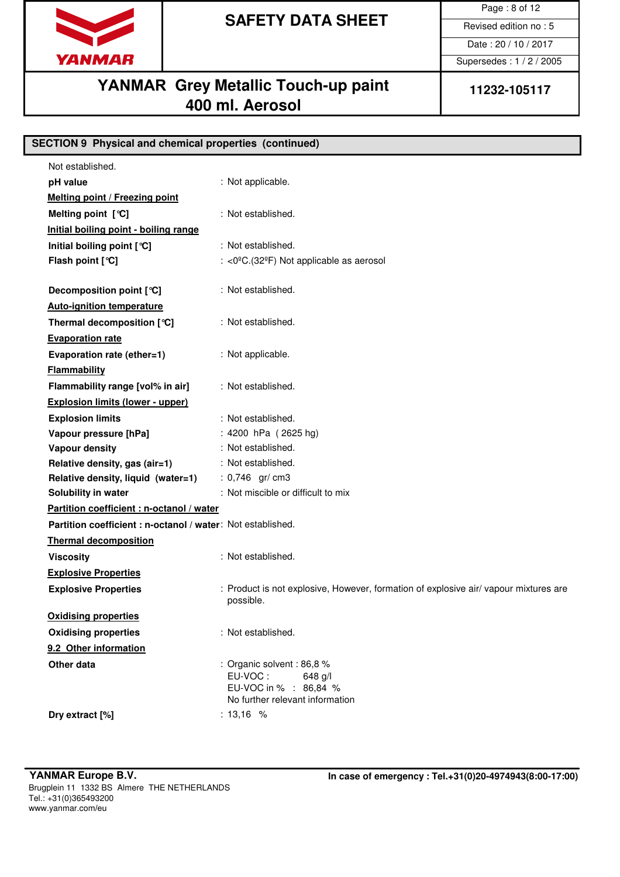

Page : 8 of 12

Date : 20 / 10 / 2017

Supersedes : 1 / 2 / 2005

# **YANMAR** Grey Metallic Touch-up paint 11232-105117 **400 ml. Aerosol**

**SECTION 9 Physical and chemical properties (continued)**

| Not established.                                           |                                                                                                                |
|------------------------------------------------------------|----------------------------------------------------------------------------------------------------------------|
| pH value                                                   | : Not applicable.                                                                                              |
| <b>Melting point / Freezing point</b>                      |                                                                                                                |
| Melting point $[°C]$                                       | : Not established.                                                                                             |
| Initial boiling point - boiling range                      |                                                                                                                |
| Initial boiling point [°C]                                 | : Not established.                                                                                             |
| Flash point [°C]                                           | : <0°C.(32°F) Not applicable as aerosol                                                                        |
|                                                            | : Not established.                                                                                             |
| Decomposition point [°C]                                   |                                                                                                                |
| <b>Auto-ignition temperature</b>                           |                                                                                                                |
| Thermal decomposition [°C]                                 | : Not established.                                                                                             |
| <b>Evaporation rate</b>                                    |                                                                                                                |
| Evaporation rate (ether=1)                                 | : Not applicable.                                                                                              |
| Flammability                                               |                                                                                                                |
| Flammability range [vol% in air]                           | : Not established.                                                                                             |
| <b>Explosion limits (lower - upper)</b>                    |                                                                                                                |
| <b>Explosion limits</b>                                    | : Not established.                                                                                             |
| Vapour pressure [hPa]                                      | : 4200 hPa (2625 hg)                                                                                           |
| <b>Vapour density</b>                                      | : Not established.                                                                                             |
| Relative density, gas (air=1)                              | : Not established.                                                                                             |
| Relative density, liquid (water=1)                         | : $0,746$ gr/ cm3                                                                                              |
| Solubility in water                                        | : Not miscible or difficult to mix                                                                             |
| Partition coefficient : n-octanol / water                  |                                                                                                                |
| Partition coefficient: n-octanol / water: Not established. |                                                                                                                |
| <b>Thermal decomposition</b>                               |                                                                                                                |
| <b>Viscosity</b>                                           | : Not established.                                                                                             |
| <b>Explosive Properties</b>                                |                                                                                                                |
| <b>Explosive Properties</b>                                | : Product is not explosive, However, formation of explosive air/vapour mixtures are<br>possible.               |
| <b>Oxidising properties</b>                                |                                                                                                                |
| <b>Oxidising properties</b>                                | : Not established.                                                                                             |
| 9.2 Other information                                      |                                                                                                                |
| Other data                                                 | : Organic solvent : 86,8 %<br>EU-VOC:<br>$648$ g/l<br>EU-VOC in % : 86,84 %<br>No further relevant information |
| Dry extract [%]                                            | : $13,16$ %                                                                                                    |
|                                                            |                                                                                                                |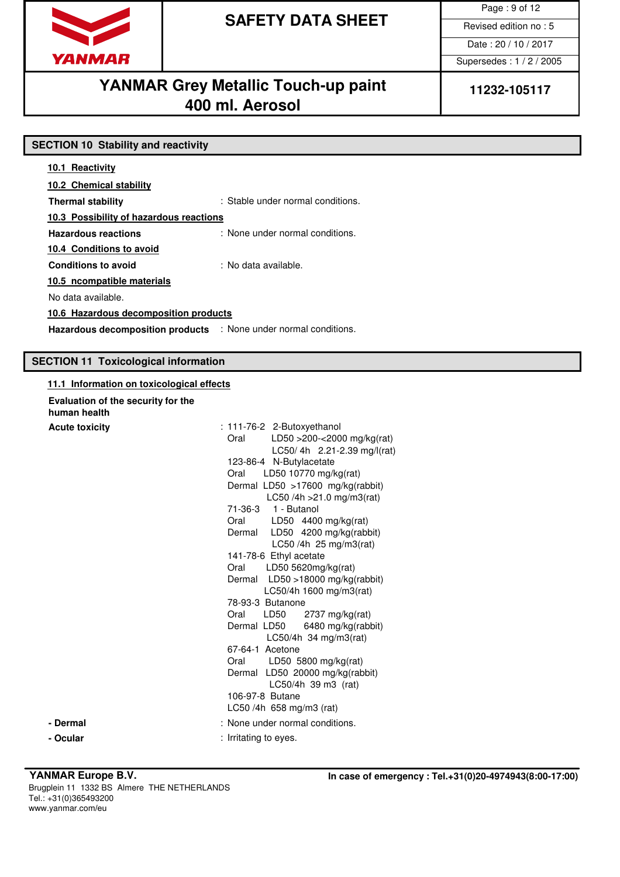

Page : 9 of 12

Date : 20 / 10 / 2017

Supersedes : 1 / 2 / 2005

# YANMAR Grey Metallic Touch-up paint | 11232-105117 **400 ml. Aerosol**

| <b>SECTION 10 Stability and reactivity</b>                       |                                   |  |
|------------------------------------------------------------------|-----------------------------------|--|
| 10.1 Reactivity                                                  |                                   |  |
| 10.2 Chemical stability                                          |                                   |  |
| <b>Thermal stability</b>                                         | : Stable under normal conditions. |  |
| 10.3 Possibility of hazardous reactions                          |                                   |  |
| <b>Hazardous reactions</b>                                       | : None under normal conditions.   |  |
| 10.4 Conditions to avoid                                         |                                   |  |
| <b>Conditions to avoid</b>                                       | : No data available.              |  |
| 10.5 ncompatible materials                                       |                                   |  |
| No data available.                                               |                                   |  |
| 10.6 Hazardous decomposition products                            |                                   |  |
| Hazardous decomposition products : None under normal conditions. |                                   |  |

### **SECTION 11 Toxicological information**

| Evaluation of the security for the<br>human health |                                                                                                                                                                                                                                                                                                                                                                                                                                                                                                                                                                                                                                                                                                                                                              |
|----------------------------------------------------|--------------------------------------------------------------------------------------------------------------------------------------------------------------------------------------------------------------------------------------------------------------------------------------------------------------------------------------------------------------------------------------------------------------------------------------------------------------------------------------------------------------------------------------------------------------------------------------------------------------------------------------------------------------------------------------------------------------------------------------------------------------|
| <b>Acute toxicity</b>                              | : 111-76-2 2-Butoxyethanol<br>Oral<br>LD50 >200-<2000 mg/kg(rat)<br>LC50/4h 2.21-2.39 mg/l(rat)<br>123-86-4 N-Butylacetate<br>LD50 10770 mg/kg(rat)<br>Oral<br>Dermal LD50 >17600 mg/kg(rabbit)<br>LC50 /4h $>21.0$ mg/m3(rat)<br>71-36-3<br>1 - Butanol<br>LD50 4400 mg/kg(rat)<br>Oral<br>LD50 4200 mg/kg(rabbit)<br>Dermal<br>LC50 /4h 25 mg/m3(rat)<br>141-78-6 Ethyl acetate<br>Oral LD50 5620mg/kg(rat)<br>Dermal LD50 >18000 mg/kg(rabbit)<br>LC50/4h 1600 mg/m3(rat)<br>78-93-3 Butanone<br>2737 mg/kg(rat)<br>Oral<br>LD50<br>Dermal LD50<br>6480 mg/kg(rabbit)<br>LC50/4h 34 mg/m3(rat)<br>67-64-1 Acetone<br>LD50 5800 mg/kg(rat)<br>Oral<br>Dermal LD50 20000 mg/kg(rabbit)<br>LC50/4h 39 m3 (rat)<br>106-97-8 Butane<br>LC50/4h 658 mg/m3 (rat) |
| - Dermal                                           | : None under normal conditions.                                                                                                                                                                                                                                                                                                                                                                                                                                                                                                                                                                                                                                                                                                                              |
|                                                    |                                                                                                                                                                                                                                                                                                                                                                                                                                                                                                                                                                                                                                                                                                                                                              |
| - Ocular                                           | : Irritating to eyes.                                                                                                                                                                                                                                                                                                                                                                                                                                                                                                                                                                                                                                                                                                                                        |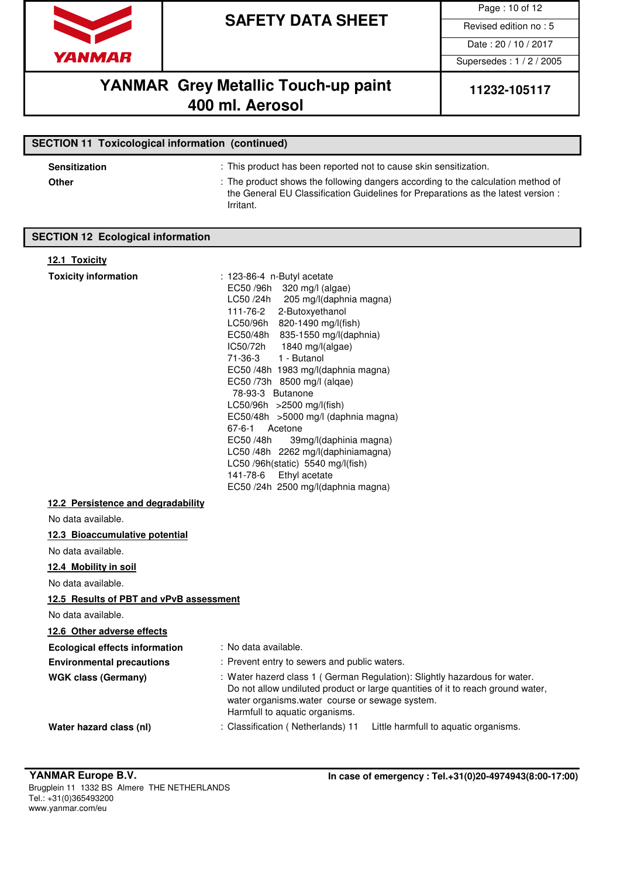

Page : 10 of 12

Date : 20 / 10 / 2017

Supersedes : 1 / 2 / 2005

## **YANMAR** Grey Metallic Touch-up paint 11232-105117 **400 ml. Aerosol**

| <b>SECTION 11 Toxicological information (continued)</b> |                                                                                                                                                                                                                                                         |  |
|---------------------------------------------------------|---------------------------------------------------------------------------------------------------------------------------------------------------------------------------------------------------------------------------------------------------------|--|
| <b>Sensitization</b><br>Other                           | : This product has been reported not to cause skin sensitization.<br>: The product shows the following dangers according to the calculation method of<br>the General EU Classification Guidelines for Preparations as the latest version :<br>Irritant. |  |

### **SECTION 12 Ecological information**

#### **12.1 Toxicity**

| <b>Toxicity information</b>             | : 123-86-4 n-Butyl acetate                                                                                                                                                                                                                       |
|-----------------------------------------|--------------------------------------------------------------------------------------------------------------------------------------------------------------------------------------------------------------------------------------------------|
|                                         | EC50 /96h 320 mg/l (algae)                                                                                                                                                                                                                       |
|                                         | LC50 /24h<br>205 mg/l(daphnia magna)                                                                                                                                                                                                             |
|                                         | 111-76-2<br>2-Butoxyethanol                                                                                                                                                                                                                      |
|                                         | LC50/96h 820-1490 mg/l(fish)                                                                                                                                                                                                                     |
|                                         | EC50/48h 835-1550 mg/l(daphnia)<br>IC50/72h<br>1840 mg/l(algae)                                                                                                                                                                                  |
|                                         | 71-36-3<br>1 - Butanol                                                                                                                                                                                                                           |
|                                         | EC50 /48h 1983 mg/l(daphnia magna)                                                                                                                                                                                                               |
|                                         | EC50 /73h 8500 mg/l (alqae)                                                                                                                                                                                                                      |
|                                         | 78-93-3 Butanone                                                                                                                                                                                                                                 |
|                                         | LC50/96h >2500 mg/l(fish)                                                                                                                                                                                                                        |
|                                         | EC50/48h >5000 mg/l (daphnia magna)                                                                                                                                                                                                              |
|                                         | 67-6-1 Acetone<br>EC50 /48h                                                                                                                                                                                                                      |
|                                         | 39mg/l(daphinia magna)<br>LC50/48h 2262 mg/l(daphiniamagna)                                                                                                                                                                                      |
|                                         | LC50 /96h(static) 5540 mg/l(fish)                                                                                                                                                                                                                |
|                                         | 141-78-6 Ethyl acetate                                                                                                                                                                                                                           |
|                                         | EC50 /24h 2500 mg/l(daphnia magna)                                                                                                                                                                                                               |
| 12.2 Persistence and degradability      |                                                                                                                                                                                                                                                  |
| No data available.                      |                                                                                                                                                                                                                                                  |
| 12.3 Bioaccumulative potential          |                                                                                                                                                                                                                                                  |
| No data available.                      |                                                                                                                                                                                                                                                  |
| 12.4 Mobility in soil                   |                                                                                                                                                                                                                                                  |
| No data available.                      |                                                                                                                                                                                                                                                  |
| 12.5 Results of PBT and vPvB assessment |                                                                                                                                                                                                                                                  |
| No data available.                      |                                                                                                                                                                                                                                                  |
| 12.6 Other adverse effects              |                                                                                                                                                                                                                                                  |
| <b>Ecological effects information</b>   | : No data available.                                                                                                                                                                                                                             |
| <b>Environmental precautions</b>        | : Prevent entry to sewers and public waters.                                                                                                                                                                                                     |
| <b>WGK class (Germany)</b>              | : Water hazerd class 1 (German Regulation): Slightly hazardous for water.<br>Do not allow undiluted product or large quantities of it to reach ground water,<br>water organisms.water course or sewage system.<br>Harmfull to aquatic organisms. |
| Water hazard class (nl)                 | Classification (Netherlands) 11<br>Little harmfull to aquatic organisms.                                                                                                                                                                         |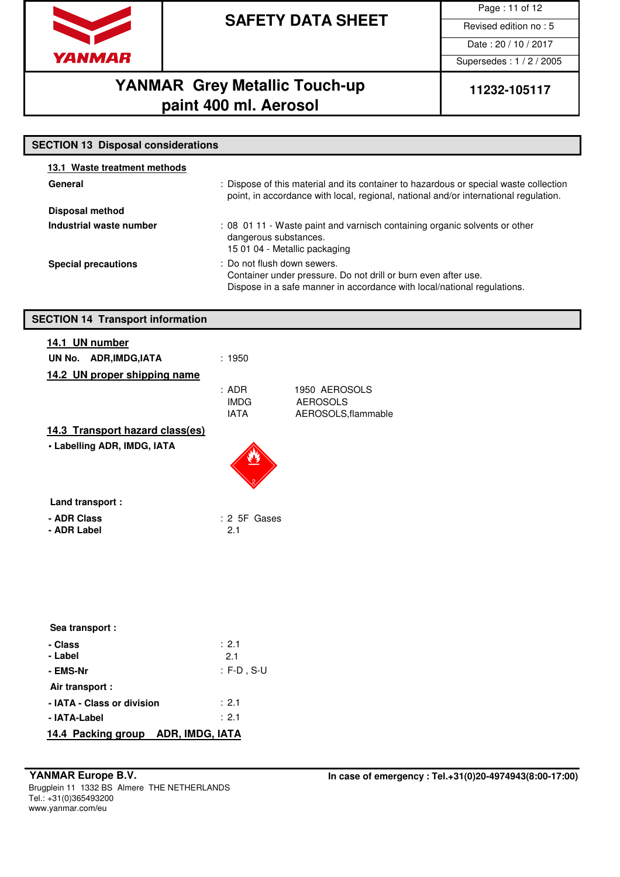

Page : 11 of 12

Date : 20 / 10 / 2017

Supersedes : 1 / 2 / 2005

# **YANMAR** Grey Metallic Touch-up 11232-105117 **paint 400 ml. Aerosol**

| <b>SECTION 13 Disposal considerations</b> |                                                                                                                                                                               |  |  |  |
|-------------------------------------------|-------------------------------------------------------------------------------------------------------------------------------------------------------------------------------|--|--|--|
| 13.1 Waste treatment methods              |                                                                                                                                                                               |  |  |  |
| General                                   | : Dispose of this material and its container to hazardous or special waste collection<br>point, in accordance with local, regional, national and/or international regulation. |  |  |  |
| <b>Disposal method</b>                    |                                                                                                                                                                               |  |  |  |
| Industrial waste number                   | : 08 01 11 - Waste paint and varnisch containing organic solvents or other<br>dangerous substances.<br>15 01 04 - Metallic packaging                                          |  |  |  |
| <b>Special precautions</b>                | : Do not flush down sewers.<br>Container under pressure. Do not drill or burn even after use.<br>Dispose in a safe manner in accordance with local/national regulations.      |  |  |  |
| <b>SECTION 14 Transport information</b>   |                                                                                                                                                                               |  |  |  |
| 14.1 UN number                            |                                                                                                                                                                               |  |  |  |
| UN No. ADR, IMDG, IATA                    | : 1950                                                                                                                                                                        |  |  |  |
| 14.2 UN proper shipping name              |                                                                                                                                                                               |  |  |  |
|                                           | $:$ ADR<br>1950 AEROSOLS<br><b>IMDG</b><br><b>AEROSOLS</b><br>AEROSOLS, flammable<br><b>IATA</b>                                                                              |  |  |  |
| 14.3 Transport hazard class(es)           |                                                                                                                                                                               |  |  |  |
| • Labelling ADR, IMDG, IATA               |                                                                                                                                                                               |  |  |  |
| Land transport :                          |                                                                                                                                                                               |  |  |  |
| - ADR Class<br>- ADR Label                | $: 2$ 5F Gases<br>2.1                                                                                                                                                         |  |  |  |
|                                           |                                                                                                                                                                               |  |  |  |
| Sea transport :                           |                                                                                                                                                                               |  |  |  |
| - Class<br>- Label                        | : 2.1<br>2.1                                                                                                                                                                  |  |  |  |
| - EMS-Nr                                  | $: F-D$ , S-U                                                                                                                                                                 |  |  |  |
| Air transport :                           |                                                                                                                                                                               |  |  |  |
| - IATA - Class or division                | : 2.1                                                                                                                                                                         |  |  |  |
| - IATA-Label                              | : 2.1                                                                                                                                                                         |  |  |  |
| 14.4 Packing group ADR, IMDG, IATA        |                                                                                                                                                                               |  |  |  |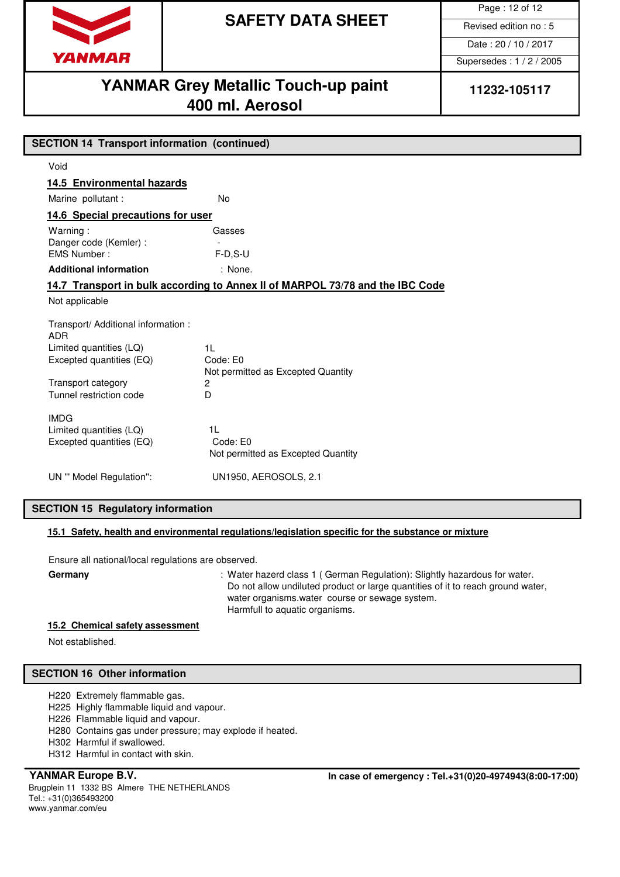

Page : 12 of 12

Date : 20 / 10 / 2017

Supersedes : 1 / 2 / 2005

### **YANMAR Grey Metallic Touch-up paint** | 11232-105117 **400 ml. Aerosol**

| <b>SECTION 14 Transport information (continued)</b><br>Void<br>14.5 Environmental hazards<br>Marine pollutant :<br><b>No</b><br>14.6 Special precautions for user<br>Warning:<br>Gasses<br>Danger code (Kemler) :<br>EMS Number:<br>$F-D.S-U$<br>: None.<br><b>Additional information</b><br>14.7 Transport in bulk according to Annex II of MARPOL 73/78 and the IBC Code<br>Not applicable<br>Transport/ Additional information :<br><b>ADR</b><br>1 <sup>L</sup><br>Limited quantities (LQ) |  |  |  |
|------------------------------------------------------------------------------------------------------------------------------------------------------------------------------------------------------------------------------------------------------------------------------------------------------------------------------------------------------------------------------------------------------------------------------------------------------------------------------------------------|--|--|--|
|                                                                                                                                                                                                                                                                                                                                                                                                                                                                                                |  |  |  |
|                                                                                                                                                                                                                                                                                                                                                                                                                                                                                                |  |  |  |
|                                                                                                                                                                                                                                                                                                                                                                                                                                                                                                |  |  |  |
|                                                                                                                                                                                                                                                                                                                                                                                                                                                                                                |  |  |  |
|                                                                                                                                                                                                                                                                                                                                                                                                                                                                                                |  |  |  |
|                                                                                                                                                                                                                                                                                                                                                                                                                                                                                                |  |  |  |
|                                                                                                                                                                                                                                                                                                                                                                                                                                                                                                |  |  |  |
|                                                                                                                                                                                                                                                                                                                                                                                                                                                                                                |  |  |  |
|                                                                                                                                                                                                                                                                                                                                                                                                                                                                                                |  |  |  |
|                                                                                                                                                                                                                                                                                                                                                                                                                                                                                                |  |  |  |
| Excepted quantities (EQ)<br>Code: E0                                                                                                                                                                                                                                                                                                                                                                                                                                                           |  |  |  |
| Not permitted as Excepted Quantity<br>Transport category<br>2<br>Tunnel restriction code<br>D                                                                                                                                                                                                                                                                                                                                                                                                  |  |  |  |
| <b>IMDG</b><br>1 <sub>L</sub><br>Limited quantities (LQ)<br>Code: E0<br>Excepted quantities (EQ)<br>Not permitted as Excepted Quantity                                                                                                                                                                                                                                                                                                                                                         |  |  |  |
| UN1950, AEROSOLS, 2.1<br>UN "' Model Regulation":                                                                                                                                                                                                                                                                                                                                                                                                                                              |  |  |  |

### **SECTION 15 Regulatory information**

#### **15.1 Safety, health and environmental regulations/legislation specific for the substance or mixture**

Ensure all national/local regulations are observed.

Germany **Germany** : Water hazerd class 1 (German Regulation): Slightly hazardous for water. Do not allow undiluted product or large quantities of it to reach ground water, water organisms.water course or sewage system. Harmfull to aquatic organisms.

#### **15.2 Chemical safety assessment**

Not established.

#### **SECTION 16 Other information**

H220 Extremely flammable gas.

H225 Highly flammable liquid and vapour.

H226 Flammable liquid and vapour.

H280 Contains gas under pressure; may explode if heated.

H302 Harmful if swallowed.

H312 Harmful in contact with skin.

Brugplein 11 1332 BS Almere THE NETHERLANDS Tel.: +31(0)365493200 www.yanmar.com/eu